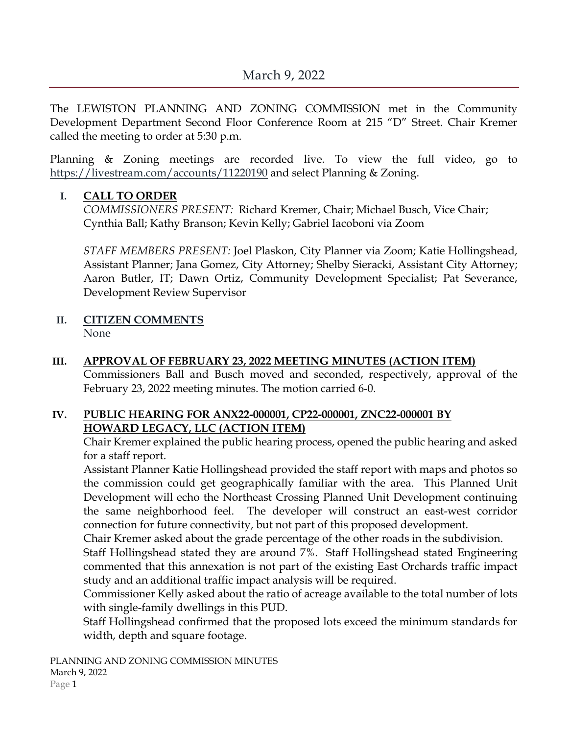The LEWISTON PLANNING AND ZONING COMMISSION met in the Community Development Department Second Floor Conference Room at 215 "D" Street. Chair Kremer called the meeting to order at 5:30 p.m.

Planning & Zoning meetings are recorded live. To view the full video, go to <https://livestream.com/accounts/11220190> and select Planning & Zoning.

### **I. CALL TO ORDER**

*COMMISSIONERS PRESENT:* Richard Kremer, Chair; Michael Busch, Vice Chair; Cynthia Ball; Kathy Branson; Kevin Kelly; Gabriel Iacoboni via Zoom

*STAFF MEMBERS PRESENT:* Joel Plaskon, City Planner via Zoom; Katie Hollingshead, Assistant Planner; Jana Gomez, City Attorney; Shelby Sieracki, Assistant City Attorney; Aaron Butler, IT; Dawn Ortiz, Community Development Specialist; Pat Severance, Development Review Supervisor

- **II. CITIZEN COMMENTS** None
- **III. APPROVAL OF FEBRUARY 23, 2022 MEETING MINUTES (ACTION ITEM)** Commissioners Ball and Busch moved and seconded, respectively, approval of the February 23, 2022 meeting minutes. The motion carried 6-0.

### **IV. PUBLIC HEARING FOR ANX22-000001, CP22-000001, ZNC22-000001 BY HOWARD LEGACY, LLC (ACTION ITEM)**

Chair Kremer explained the public hearing process, opened the public hearing and asked for a staff report.

Assistant Planner Katie Hollingshead provided the staff report with maps and photos so the commission could get geographically familiar with the area. This Planned Unit Development will echo the Northeast Crossing Planned Unit Development continuing the same neighborhood feel. The developer will construct an east-west corridor connection for future connectivity, but not part of this proposed development.

Chair Kremer asked about the grade percentage of the other roads in the subdivision.

Staff Hollingshead stated they are around 7%. Staff Hollingshead stated Engineering commented that this annexation is not part of the existing East Orchards traffic impact study and an additional traffic impact analysis will be required.

Commissioner Kelly asked about the ratio of acreage available to the total number of lots with single-family dwellings in this PUD.

Staff Hollingshead confirmed that the proposed lots exceed the minimum standards for width, depth and square footage.

PLANNING AND ZONING COMMISSION MINUTES March 9, 2022 Page 1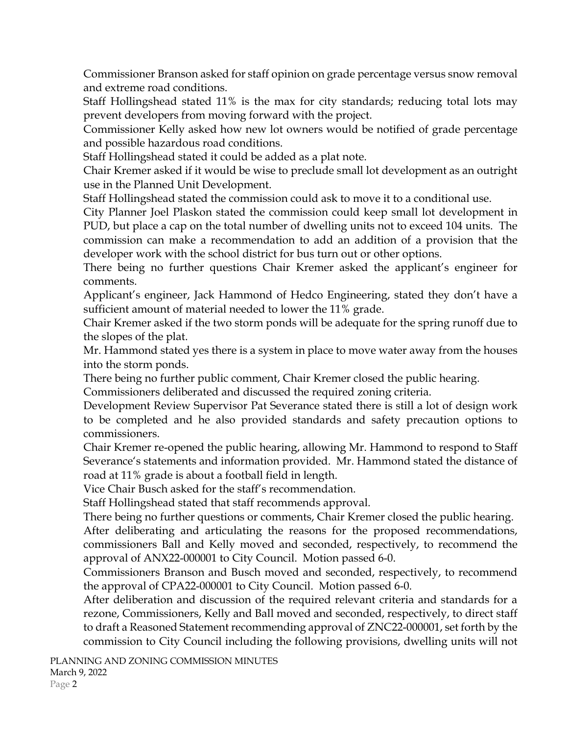Commissioner Branson asked for staff opinion on grade percentage versus snow removal and extreme road conditions.

Staff Hollingshead stated 11% is the max for city standards; reducing total lots may prevent developers from moving forward with the project.

Commissioner Kelly asked how new lot owners would be notified of grade percentage and possible hazardous road conditions.

Staff Hollingshead stated it could be added as a plat note.

Chair Kremer asked if it would be wise to preclude small lot development as an outright use in the Planned Unit Development.

Staff Hollingshead stated the commission could ask to move it to a conditional use.

City Planner Joel Plaskon stated the commission could keep small lot development in PUD, but place a cap on the total number of dwelling units not to exceed 104 units. The commission can make a recommendation to add an addition of a provision that the developer work with the school district for bus turn out or other options.

There being no further questions Chair Kremer asked the applicant's engineer for comments.

Applicant's engineer, Jack Hammond of Hedco Engineering, stated they don't have a sufficient amount of material needed to lower the 11% grade.

Chair Kremer asked if the two storm ponds will be adequate for the spring runoff due to the slopes of the plat.

Mr. Hammond stated yes there is a system in place to move water away from the houses into the storm ponds.

There being no further public comment, Chair Kremer closed the public hearing.

Commissioners deliberated and discussed the required zoning criteria.

Development Review Supervisor Pat Severance stated there is still a lot of design work to be completed and he also provided standards and safety precaution options to commissioners.

Chair Kremer re-opened the public hearing, allowing Mr. Hammond to respond to Staff Severance's statements and information provided. Mr. Hammond stated the distance of road at 11% grade is about a football field in length.

Vice Chair Busch asked for the staff's recommendation.

Staff Hollingshead stated that staff recommends approval.

There being no further questions or comments, Chair Kremer closed the public hearing.

After deliberating and articulating the reasons for the proposed recommendations, commissioners Ball and Kelly moved and seconded, respectively, to recommend the approval of ANX22-000001 to City Council. Motion passed 6-0.

Commissioners Branson and Busch moved and seconded, respectively, to recommend the approval of CPA22-000001 to City Council. Motion passed 6-0.

After deliberation and discussion of the required relevant criteria and standards for a rezone, Commissioners, Kelly and Ball moved and seconded, respectively, to direct staff to draft a Reasoned Statement recommending approval of ZNC22-000001, set forth by the commission to City Council including the following provisions, dwelling units will not

PLANNING AND ZONING COMMISSION MINUTES March 9, 2022